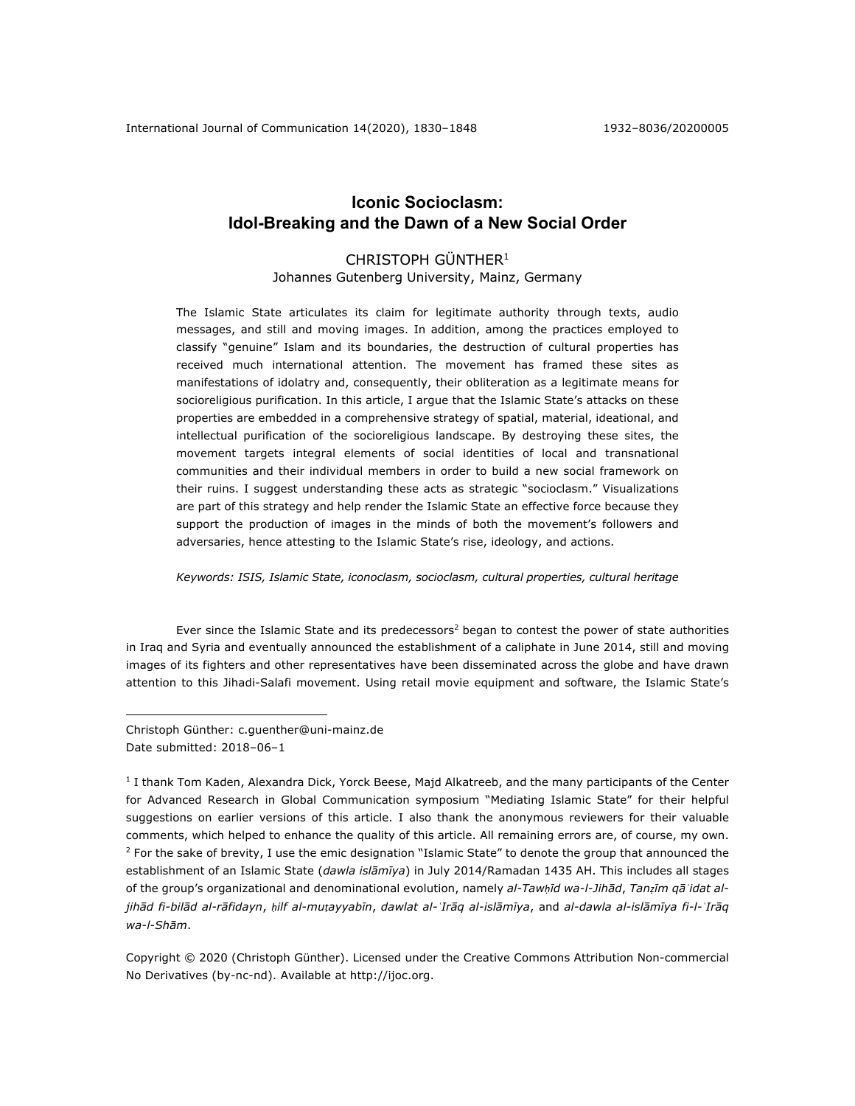# **Iconic Socioclasm: Idol-Breaking and the Dawn of a New Social Order**

## CHRISTOPH GÜNTHER1 Johannes Gutenberg University, Mainz, Germany

The Islamic State articulates its claim for legitimate authority through texts, audio messages, and still and moving images. In addition, among the practices employed to classify "genuine" Islam and its boundaries, the destruction of cultural properties has received much international attention. The movement has framed these sites as manifestations of idolatry and, consequently, their obliteration as a legitimate means for socioreligious purification. In this article, I argue that the Islamic State's attacks on these properties are embedded in a comprehensive strategy of spatial, material, ideational, and intellectual purification of the socioreligious landscape. By destroying these sites, the movement targets integral elements of social identities of local and transnational communities and their individual members in order to build a new social framework on their ruins. I suggest understanding these acts as strategic "socioclasm." Visualizations are part of this strategy and help render the Islamic State an effective force because they support the production of images in the minds of both the movement's followers and adversaries, hence attesting to the Islamic State's rise, ideology, and actions.

#### *Keywords: ISIS, Islamic State, iconoclasm, socioclasm, cultural properties, cultural heritage*

Ever since the Islamic State and its predecessors $2$  began to contest the power of state authorities in Iraq and Syria and eventually announced the establishment of a caliphate in June 2014, still and moving images of its fighters and other representatives have been disseminated across the globe and have drawn attention to this Jihadi-Salafi movement. Using retail movie equipment and software, the Islamic State's

Christoph Günther: c.guenther@uni-mainz.de Date submitted: 2018-06-1

<sup>1</sup> I thank Tom Kaden, Alexandra Dick, Yorck Beese, Majd Alkatreeb, and the many participants of the Center for Advanced Research in Global Communication symposium "Mediating Islamic State" for their helpful suggestions on earlier versions of this article. I also thank the anonymous reviewers for their valuable comments, which helped to enhance the quality of this article. All remaining errors are, of course, my own. <sup>2</sup> For the sake of brevity, I use the emic designation "Islamic State" to denote the group that announced the establishment of an Islamic State (*dawla islāmīya*) in July 2014/Ramadan 1435 AH. This includes all stages of the group's organizational and denominational evolution, namely *al-Tawḥīd wa-l-Jihād*, *Tanẓīm qāʿidat al*jihād fi-bilād al-rāfidayn, hilf al-mutayyabīn, dawlat al-ʿIrāq al-islāmīya, and al-dawla al-islāmīya fi-l-ʿIrāq *wa-l-Shām*.

Copyright © 2020 (Christoph Günther). Licensed under the Creative Commons Attribution Non-commercial No Derivatives (by-nc-nd). Available at http://ijoc.org.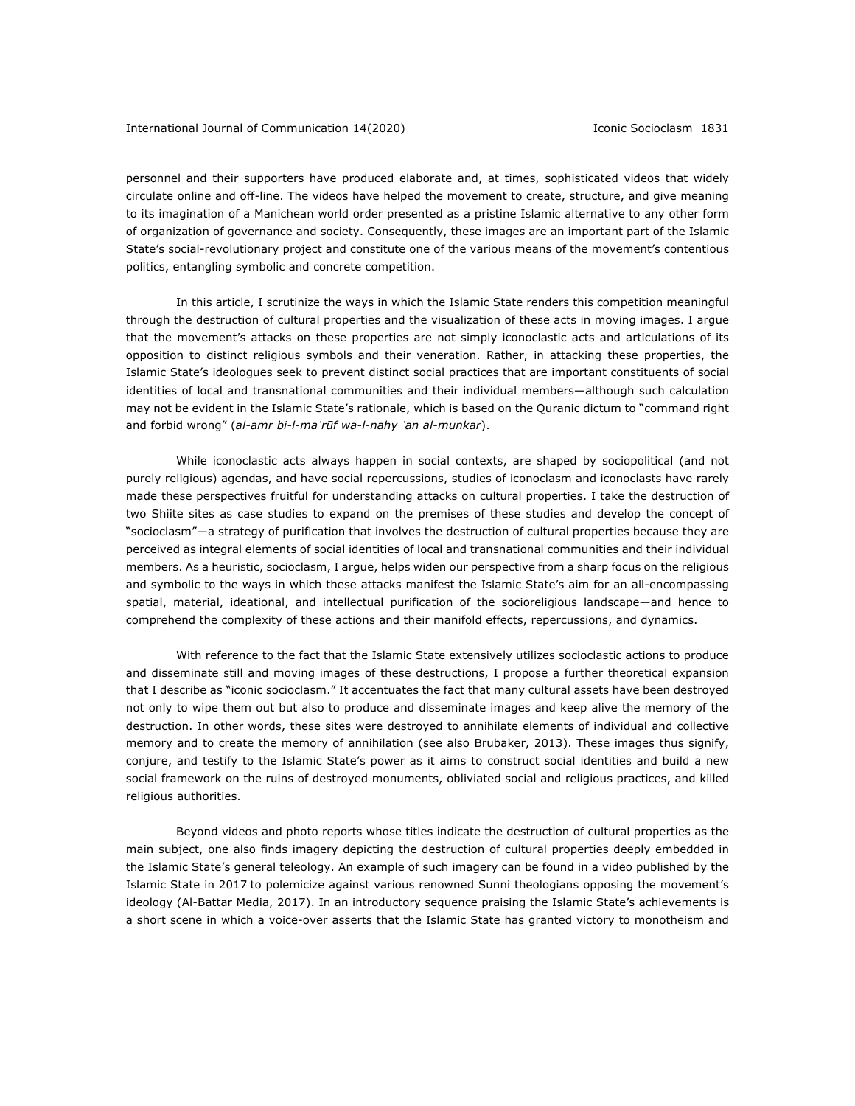personnel and their supporters have produced elaborate and, at times, sophisticated videos that widely circulate online and off-line. The videos have helped the movement to create, structure, and give meaning to its imagination of a Manichean world order presented as a pristine Islamic alternative to any other form of organization of governance and society. Consequently, these images are an important part of the Islamic State's social-revolutionary project and constitute one of the various means of the movement's contentious politics, entangling symbolic and concrete competition.

In this article, I scrutinize the ways in which the Islamic State renders this competition meaningful through the destruction of cultural properties and the visualization of these acts in moving images. I argue that the movement's attacks on these properties are not simply iconoclastic acts and articulations of its opposition to distinct religious symbols and their veneration. Rather, in attacking these properties, the Islamic State's ideologues seek to prevent distinct social practices that are important constituents of social identities of local and transnational communities and their individual members—although such calculation may not be evident in the Islamic State's rationale, which is based on the Quranic dictum to "command right and forbid wrong" (*al-amr bi-l-maʿrūf wa-l-nahy ʿan al-munkar*).

While iconoclastic acts always happen in social contexts, are shaped by sociopolitical (and not purely religious) agendas, and have social repercussions, studies of iconoclasm and iconoclasts have rarely made these perspectives fruitful for understanding attacks on cultural properties. I take the destruction of two Shiite sites as case studies to expand on the premises of these studies and develop the concept of "socioclasm"—a strategy of purification that involves the destruction of cultural properties because they are perceived as integral elements of social identities of local and transnational communities and their individual members. As a heuristic, socioclasm, I argue, helps widen our perspective from a sharp focus on the religious and symbolic to the ways in which these attacks manifest the Islamic State's aim for an all-encompassing spatial, material, ideational, and intellectual purification of the socioreligious landscape—and hence to comprehend the complexity of these actions and their manifold effects, repercussions, and dynamics.

With reference to the fact that the Islamic State extensively utilizes socioclastic actions to produce and disseminate still and moving images of these destructions, I propose a further theoretical expansion that I describe as "iconic socioclasm." It accentuates the fact that many cultural assets have been destroyed not only to wipe them out but also to produce and disseminate images and keep alive the memory of the destruction. In other words, these sites were destroyed to annihilate elements of individual and collective memory and to create the memory of annihilation (see also Brubaker, 2013). These images thus signify, conjure, and testify to the Islamic State's power as it aims to construct social identities and build a new social framework on the ruins of destroyed monuments, obliviated social and religious practices, and killed religious authorities.

Beyond videos and photo reports whose titles indicate the destruction of cultural properties as the main subject, one also finds imagery depicting the destruction of cultural properties deeply embedded in the Islamic State's general teleology. An example of such imagery can be found in a video published by the Islamic State in 2017 to polemicize against various renowned Sunni theologians opposing the movement's ideology (Al-Battar Media, 2017). In an introductory sequence praising the Islamic State's achievements is a short scene in which a voice-over asserts that the Islamic State has granted victory to monotheism and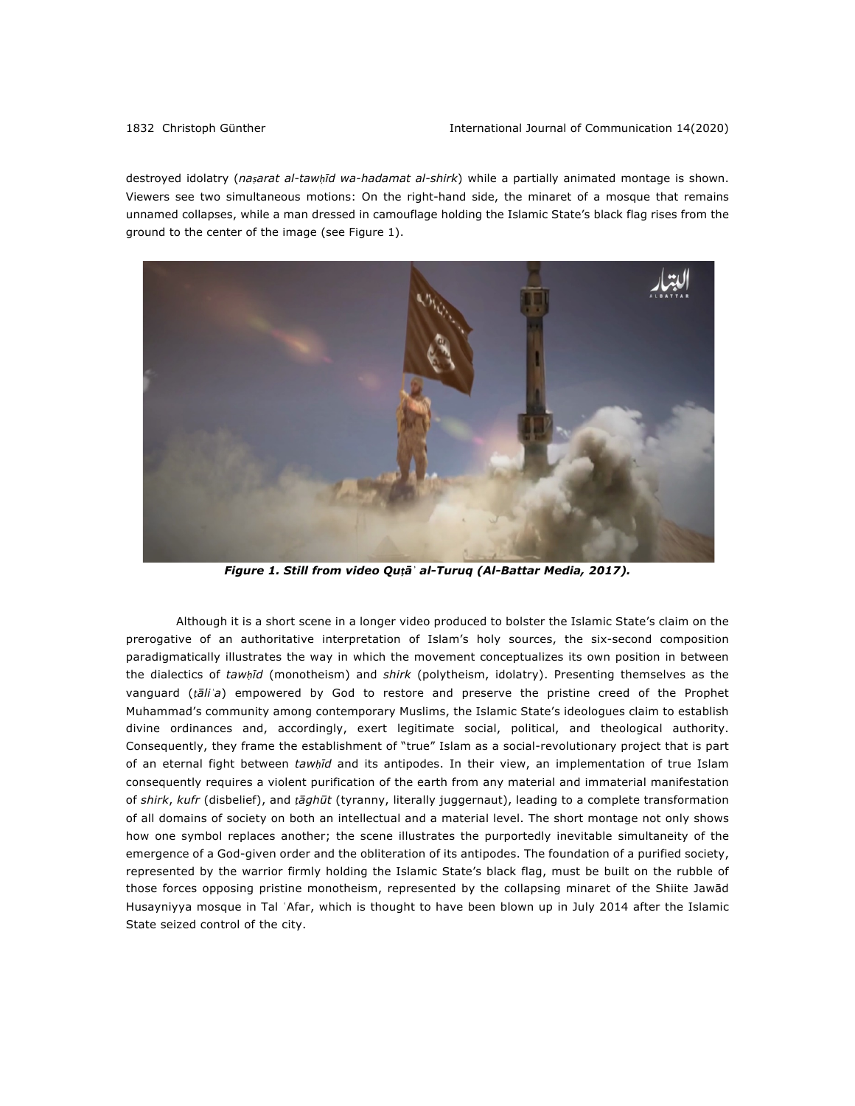destroyed idolatry (*naṣarat al-tawḥīd wa-hadamat al-shirk*) while a partially animated montage is shown. Viewers see two simultaneous motions: On the right-hand side, the minaret of a mosque that remains unnamed collapses, while a man dressed in camouflage holding the Islamic State's black flag rises from the ground to the center of the image (see Figure 1).



*Figure 1. Still from video Quṭāʾ al-Turuq (Al-Battar Media, 2017).*

Although it is a short scene in a longer video produced to bolster the Islamic State's claim on the prerogative of an authoritative interpretation of Islam's holy sources, the six-second composition paradigmatically illustrates the way in which the movement conceptualizes its own position in between the dialectics of *tawḥīd* (monotheism) and *shirk* (polytheism, idolatry). Presenting themselves as the vanguard (*ṭāliʿa*) empowered by God to restore and preserve the pristine creed of the Prophet Muhammad's community among contemporary Muslims, the Islamic State's ideologues claim to establish divine ordinances and, accordingly, exert legitimate social, political, and theological authority. Consequently, they frame the establishment of "true" Islam as a social-revolutionary project that is part of an eternal fight between *tawḥīd* and its antipodes. In their view, an implementation of true Islam consequently requires a violent purification of the earth from any material and immaterial manifestation of *shirk*, *kufr* (disbelief), and *ṭāghūt* (tyranny, literally juggernaut), leading to a complete transformation of all domains of society on both an intellectual and a material level. The short montage not only shows how one symbol replaces another; the scene illustrates the purportedly inevitable simultaneity of the emergence of a God-given order and the obliteration of its antipodes. The foundation of a purified society, represented by the warrior firmly holding the Islamic State's black flag, must be built on the rubble of those forces opposing pristine monotheism, represented by the collapsing minaret of the Shiite Jawād Husayniyya mosque in Tal ʿAfar, which is thought to have been blown up in July 2014 after the Islamic State seized control of the city.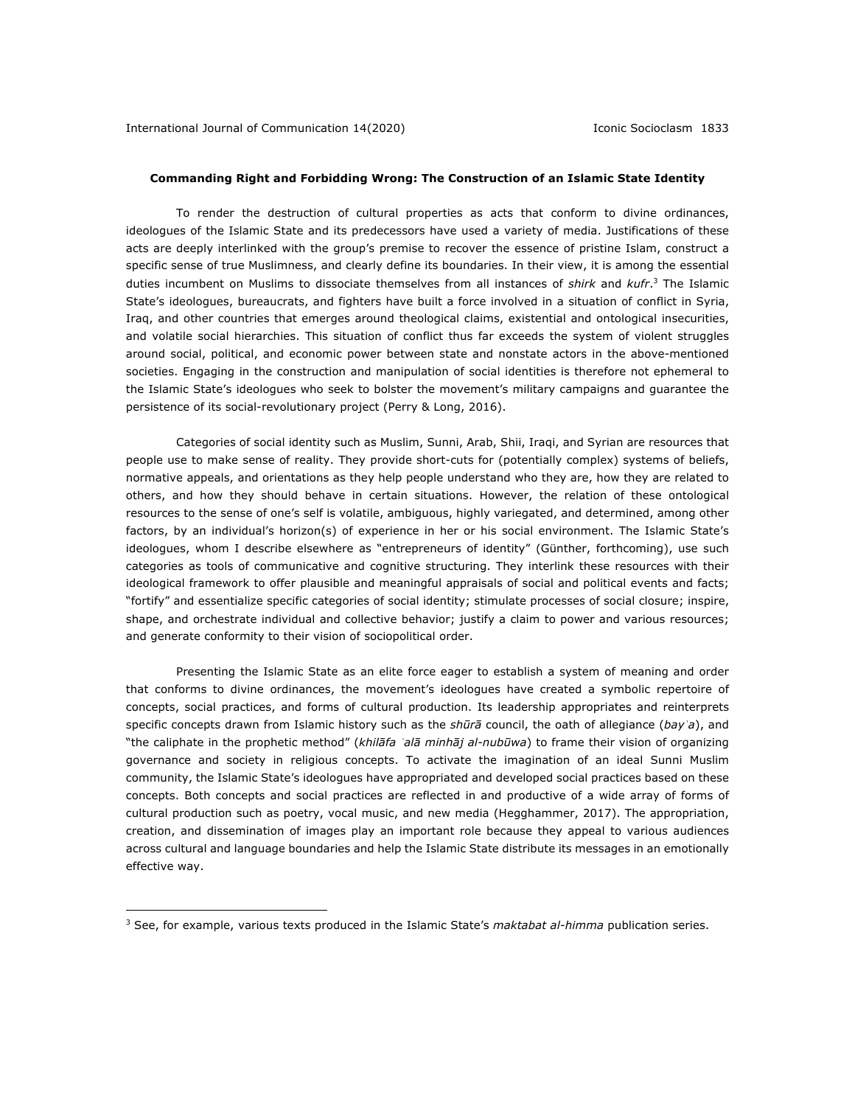#### **Commanding Right and Forbidding Wrong: The Construction of an Islamic State Identity**

To render the destruction of cultural properties as acts that conform to divine ordinances, ideologues of the Islamic State and its predecessors have used a variety of media. Justifications of these acts are deeply interlinked with the group's premise to recover the essence of pristine Islam, construct a specific sense of true Muslimness, and clearly define its boundaries. In their view, it is among the essential duties incumbent on Muslims to dissociate themselves from all instances of *shirk* and *kufr*. <sup>3</sup> The Islamic State's ideologues, bureaucrats, and fighters have built a force involved in a situation of conflict in Syria, Iraq, and other countries that emerges around theological claims, existential and ontological insecurities, and volatile social hierarchies. This situation of conflict thus far exceeds the system of violent struggles around social, political, and economic power between state and nonstate actors in the above-mentioned societies. Engaging in the construction and manipulation of social identities is therefore not ephemeral to the Islamic State's ideologues who seek to bolster the movement's military campaigns and guarantee the persistence of its social-revolutionary project (Perry & Long, 2016).

Categories of social identity such as Muslim, Sunni, Arab, Shii, Iraqi, and Syrian are resources that people use to make sense of reality. They provide short-cuts for (potentially complex) systems of beliefs, normative appeals, and orientations as they help people understand who they are, how they are related to others, and how they should behave in certain situations. However, the relation of these ontological resources to the sense of one's self is volatile, ambiguous, highly variegated, and determined, among other factors, by an individual's horizon(s) of experience in her or his social environment. The Islamic State's ideologues, whom I describe elsewhere as "entrepreneurs of identity" (Günther, forthcoming), use such categories as tools of communicative and cognitive structuring. They interlink these resources with their ideological framework to offer plausible and meaningful appraisals of social and political events and facts; "fortify" and essentialize specific categories of social identity; stimulate processes of social closure; inspire, shape, and orchestrate individual and collective behavior; justify a claim to power and various resources; and generate conformity to their vision of sociopolitical order.

Presenting the Islamic State as an elite force eager to establish a system of meaning and order that conforms to divine ordinances, the movement's ideologues have created a symbolic repertoire of concepts, social practices, and forms of cultural production. Its leadership appropriates and reinterprets specific concepts drawn from Islamic history such as the *shūrā* council, the oath of allegiance (*bayʾa*), and "the caliphate in the prophetic method" (*khilāfa ʿalā minhāj al-nubūwa*) to frame their vision of organizing governance and society in religious concepts. To activate the imagination of an ideal Sunni Muslim community, the Islamic State's ideologues have appropriated and developed social practices based on these concepts. Both concepts and social practices are reflected in and productive of a wide array of forms of cultural production such as poetry, vocal music, and new media (Hegghammer, 2017). The appropriation, creation, and dissemination of images play an important role because they appeal to various audiences across cultural and language boundaries and help the Islamic State distribute its messages in an emotionally effective way.

<sup>3</sup> See, for example, various texts produced in the Islamic State's *maktabat al-himma* publication series.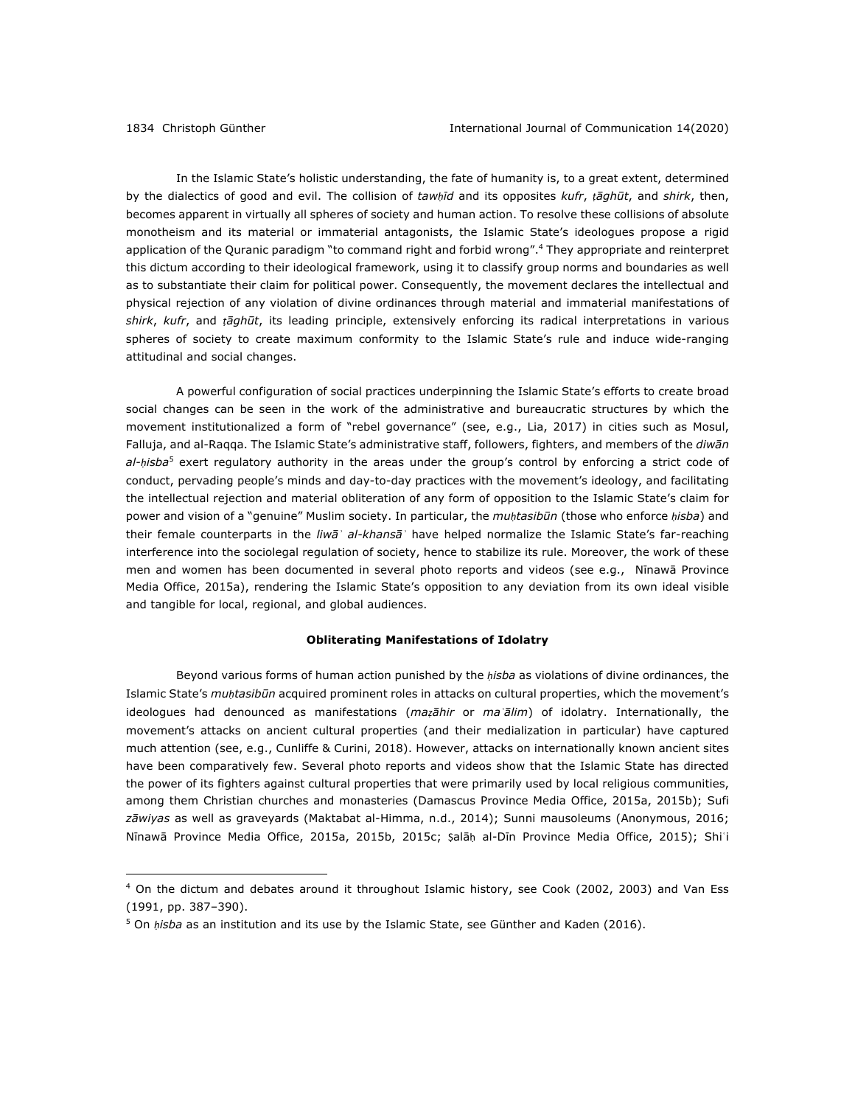In the Islamic State's holistic understanding, the fate of humanity is, to a great extent, determined by the dialectics of good and evil. The collision of *tawḥīd* and its opposites *kufr*, *ṭāghūt*, and *shirk*, then, becomes apparent in virtually all spheres of society and human action. To resolve these collisions of absolute monotheism and its material or immaterial antagonists, the Islamic State's ideologues propose a rigid application of the Quranic paradigm "to command right and forbid wrong". <sup>4</sup> They appropriate and reinterpret this dictum according to their ideological framework, using it to classify group norms and boundaries as well as to substantiate their claim for political power. Consequently, the movement declares the intellectual and physical rejection of any violation of divine ordinances through material and immaterial manifestations of *shirk*, *kufr*, and *ṭāghūt*, its leading principle, extensively enforcing its radical interpretations in various spheres of society to create maximum conformity to the Islamic State's rule and induce wide-ranging attitudinal and social changes.

A powerful configuration of social practices underpinning the Islamic State's efforts to create broad social changes can be seen in the work of the administrative and bureaucratic structures by which the movement institutionalized a form of "rebel governance" (see, e.g., Lia, 2017) in cities such as Mosul, Falluja, and al-Raqqa. The Islamic State's administrative staff, followers, fighters, and members of the *diwān al-ḥisba*<sup>5</sup> exert regulatory authority in the areas under the group's control by enforcing a strict code of conduct, pervading people's minds and day-to-day practices with the movement's ideology, and facilitating the intellectual rejection and material obliteration of any form of opposition to the Islamic State's claim for power and vision of a "genuine" Muslim society. In particular, the *muḥtasibūn* (those who enforce *ḥisba*) and their female counterparts in the *liwāʾ al-khansāʾ* have helped normalize the Islamic State's far-reaching interference into the sociolegal regulation of society, hence to stabilize its rule. Moreover, the work of these men and women has been documented in several photo reports and videos (see e.g., Nīnawā Province Media Office, 2015a), rendering the Islamic State's opposition to any deviation from its own ideal visible and tangible for local, regional, and global audiences.

#### **Obliterating Manifestations of Idolatry**

Beyond various forms of human action punished by the *ḥisba* as violations of divine ordinances, the Islamic State's *muḥtasibūn* acquired prominent roles in attacks on cultural properties, which the movement's ideologues had denounced as manifestations (*maẓāhir* or *maʿālim*) of idolatry. Internationally, the movement's attacks on ancient cultural properties (and their medialization in particular) have captured much attention (see, e.g., Cunliffe & Curini, 2018). However, attacks on internationally known ancient sites have been comparatively few. Several photo reports and videos show that the Islamic State has directed the power of its fighters against cultural properties that were primarily used by local religious communities, among them Christian churches and monasteries (Damascus Province Media Office, 2015a, 2015b); Sufi *zāwiyas* as well as graveyards (Maktabat al-Himma, n.d., 2014); Sunni mausoleums (Anonymous, 2016; Nīnawā Province Media Office, 2015a, 2015b, 2015c; Ṣalāḥ al-Dīn Province Media Office, 2015); Shiʿi

<sup>&</sup>lt;sup>4</sup> On the dictum and debates around it throughout Islamic history, see Cook (2002, 2003) and Van Ess (1991, pp. 387–390).

<sup>5</sup> On *ḥisba* as an institution and its use by the Islamic State, see Günther and Kaden (2016).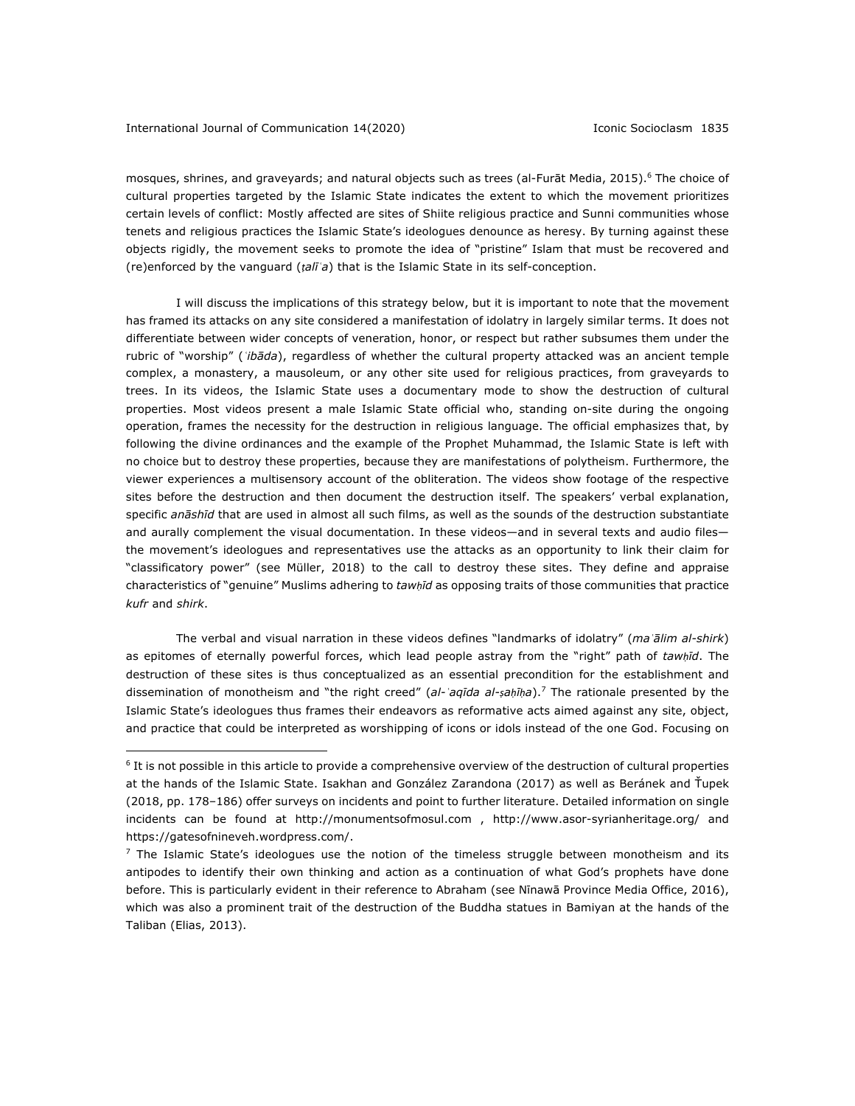mosques, shrines, and graveyards; and natural objects such as trees (al-Furāt Media, 2015).<sup>6</sup> The choice of cultural properties targeted by the Islamic State indicates the extent to which the movement prioritizes certain levels of conflict: Mostly affected are sites of Shiite religious practice and Sunni communities whose tenets and religious practices the Islamic State's ideologues denounce as heresy. By turning against these objects rigidly, the movement seeks to promote the idea of "pristine" Islam that must be recovered and (re)enforced by the vanguard (*ṭalīʿa*) that is the Islamic State in its self-conception.

I will discuss the implications of this strategy below, but it is important to note that the movement has framed its attacks on any site considered a manifestation of idolatry in largely similar terms. It does not differentiate between wider concepts of veneration, honor, or respect but rather subsumes them under the rubric of "worship" (*ʿibāda*), regardless of whether the cultural property attacked was an ancient temple complex, a monastery, a mausoleum, or any other site used for religious practices, from graveyards to trees. In its videos, the Islamic State uses a documentary mode to show the destruction of cultural properties. Most videos present a male Islamic State official who, standing on-site during the ongoing operation, frames the necessity for the destruction in religious language. The official emphasizes that, by following the divine ordinances and the example of the Prophet Muhammad, the Islamic State is left with no choice but to destroy these properties, because they are manifestations of polytheism. Furthermore, the viewer experiences a multisensory account of the obliteration. The videos show footage of the respective sites before the destruction and then document the destruction itself. The speakers' verbal explanation, specific *anāshīd* that are used in almost all such films, as well as the sounds of the destruction substantiate and aurally complement the visual documentation. In these videos—and in several texts and audio files the movement's ideologues and representatives use the attacks as an opportunity to link their claim for "classificatory power" (see Müller, 2018) to the call to destroy these sites. They define and appraise characteristics of "genuine" Muslims adhering to *tawḥīd* as opposing traits of those communities that practice *kufr* and *shirk*.

The verbal and visual narration in these videos defines "landmarks of idolatry" (*maʿālim al-shirk*) as epitomes of eternally powerful forces, which lead people astray from the "right" path of *tawḥīd*. The destruction of these sites is thus conceptualized as an essential precondition for the establishment and dissemination of monotheism and "the right creed" (*al-ʿaqīda al-ṣaḥīḥa*).7 The rationale presented by the Islamic State's ideologues thus frames their endeavors as reformative acts aimed against any site, object, and practice that could be interpreted as worshipping of icons or idols instead of the one God. Focusing on

<sup>&</sup>lt;sup>6</sup> It is not possible in this article to provide a comprehensive overview of the destruction of cultural properties at the hands of the Islamic State. Isakhan and González Zarandona (2017) as well as Beránek and Ťupek (2018, pp. 178–186) offer surveys on incidents and point to further literature. Detailed information on single incidents can be found at http://monumentsofmosul.com , http://www.asor-syrianheritage.org/ and https://gatesofnineveh.wordpress.com/.

 $<sup>7</sup>$  The Islamic State's ideologues use the notion of the timeless struggle between monotheism and its</sup> antipodes to identify their own thinking and action as a continuation of what God's prophets have done before. This is particularly evident in their reference to Abraham (see Nīnawā Province Media Office, 2016), which was also a prominent trait of the destruction of the Buddha statues in Bamiyan at the hands of the Taliban (Elias, 2013).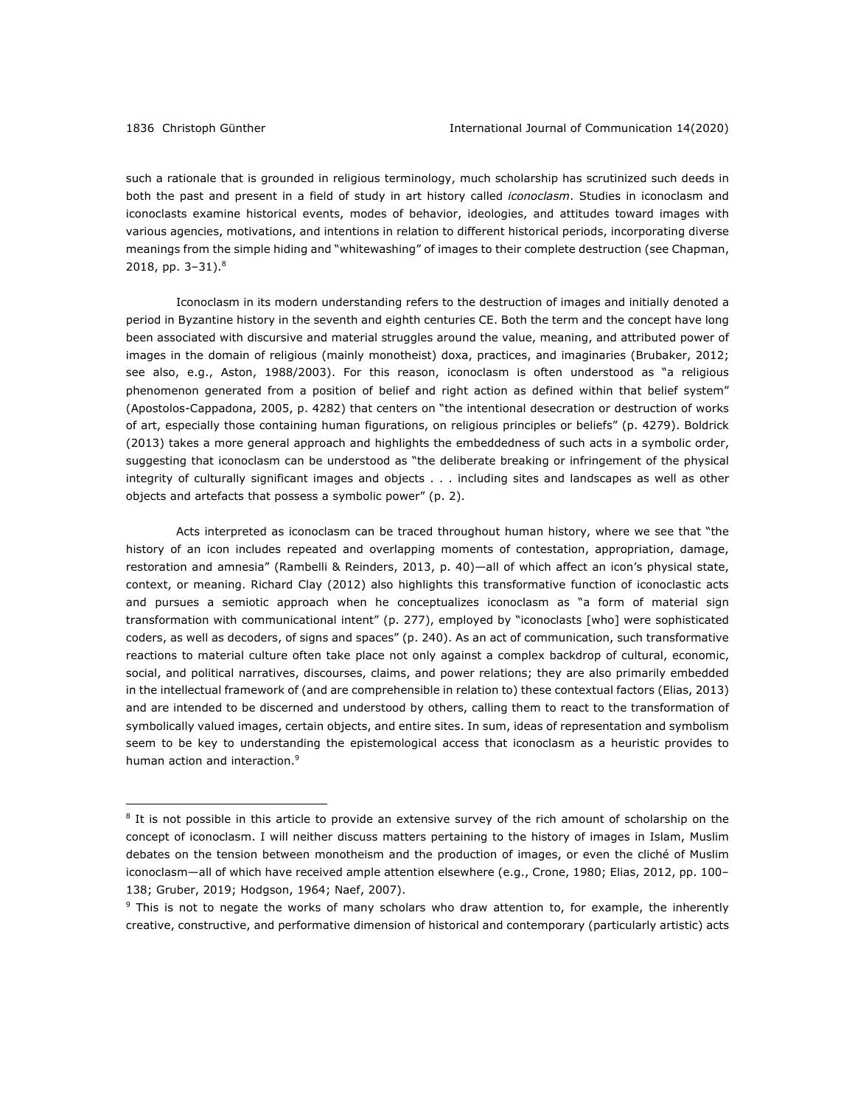such a rationale that is grounded in religious terminology, much scholarship has scrutinized such deeds in both the past and present in a field of study in art history called *iconoclasm*. Studies in iconoclasm and iconoclasts examine historical events, modes of behavior, ideologies, and attitudes toward images with various agencies, motivations, and intentions in relation to different historical periods, incorporating diverse meanings from the simple hiding and "whitewashing" of images to their complete destruction (see Chapman, 2018, pp. 3–31).8

Iconoclasm in its modern understanding refers to the destruction of images and initially denoted a period in Byzantine history in the seventh and eighth centuries CE. Both the term and the concept have long been associated with discursive and material struggles around the value, meaning, and attributed power of images in the domain of religious (mainly monotheist) doxa, practices, and imaginaries (Brubaker, 2012; see also, e.g., Aston, 1988/2003). For this reason, iconoclasm is often understood as "a religious phenomenon generated from a position of belief and right action as defined within that belief system" (Apostolos-Cappadona, 2005, p. 4282) that centers on "the intentional desecration or destruction of works of art, especially those containing human figurations, on religious principles or beliefs" (p. 4279). Boldrick (2013) takes a more general approach and highlights the embeddedness of such acts in a symbolic order, suggesting that iconoclasm can be understood as "the deliberate breaking or infringement of the physical integrity of culturally significant images and objects . . . including sites and landscapes as well as other objects and artefacts that possess a symbolic power" (p. 2).

Acts interpreted as iconoclasm can be traced throughout human history, where we see that "the history of an icon includes repeated and overlapping moments of contestation, appropriation, damage, restoration and amnesia" (Rambelli & Reinders, 2013, p. 40)—all of which affect an icon's physical state, context, or meaning. Richard Clay (2012) also highlights this transformative function of iconoclastic acts and pursues a semiotic approach when he conceptualizes iconoclasm as "a form of material sign transformation with communicational intent" (p. 277), employed by "iconoclasts [who] were sophisticated coders, as well as decoders, of signs and spaces" (p. 240). As an act of communication, such transformative reactions to material culture often take place not only against a complex backdrop of cultural, economic, social, and political narratives, discourses, claims, and power relations; they are also primarily embedded in the intellectual framework of (and are comprehensible in relation to) these contextual factors (Elias, 2013) and are intended to be discerned and understood by others, calling them to react to the transformation of symbolically valued images, certain objects, and entire sites. In sum, ideas of representation and symbolism seem to be key to understanding the epistemological access that iconoclasm as a heuristic provides to human action and interaction.<sup>9</sup>

<sup>&</sup>lt;sup>8</sup> It is not possible in this article to provide an extensive survey of the rich amount of scholarship on the concept of iconoclasm. I will neither discuss matters pertaining to the history of images in Islam, Muslim debates on the tension between monotheism and the production of images, or even the cliché of Muslim iconoclasm—all of which have received ample attention elsewhere (e.g., Crone, 1980; Elias, 2012, pp. 100– 138; Gruber, 2019; Hodgson, 1964; Naef, 2007).

<sup>&</sup>lt;sup>9</sup> This is not to negate the works of many scholars who draw attention to, for example, the inherently creative, constructive, and performative dimension of historical and contemporary (particularly artistic) acts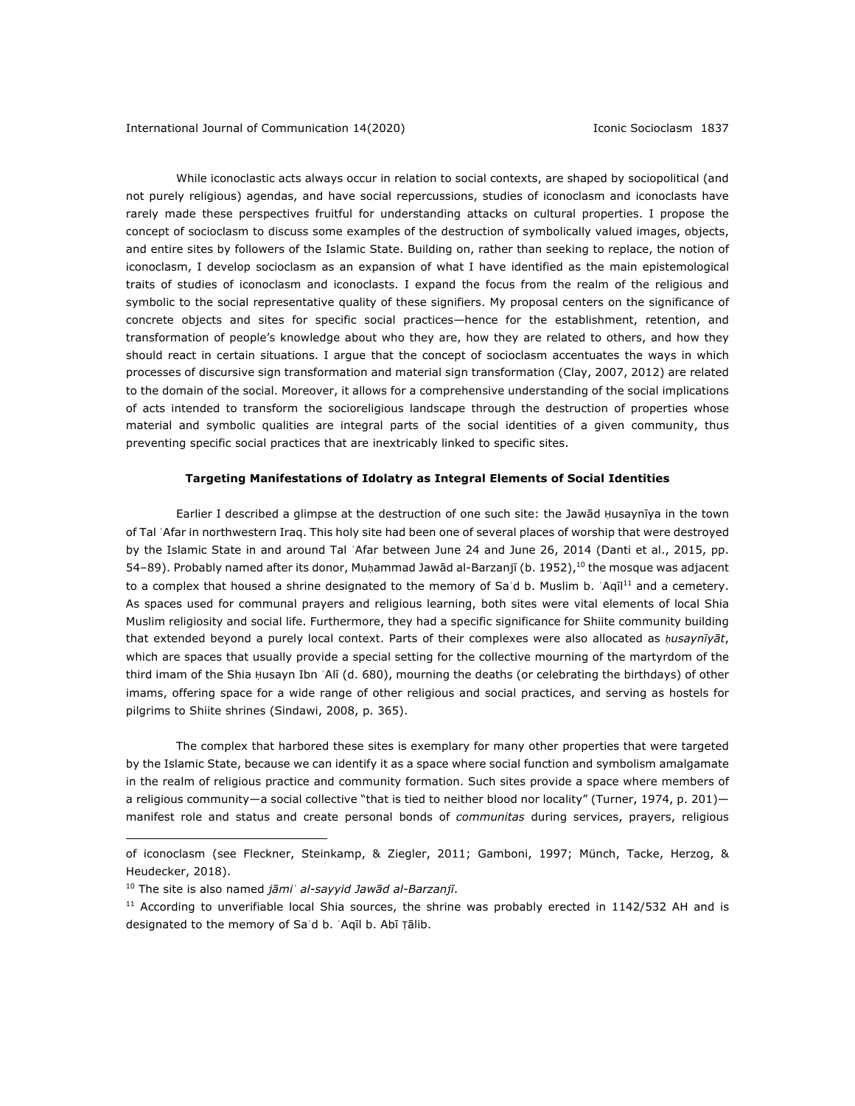While iconoclastic acts always occur in relation to social contexts, are shaped by sociopolitical (and not purely religious) agendas, and have social repercussions, studies of iconoclasm and iconoclasts have rarely made these perspectives fruitful for understanding attacks on cultural properties. I propose the concept of socioclasm to discuss some examples of the destruction of symbolically valued images, objects, and entire sites by followers of the Islamic State. Building on, rather than seeking to replace, the notion of iconoclasm, I develop socioclasm as an expansion of what I have identified as the main epistemological traits of studies of iconoclasm and iconoclasts. I expand the focus from the realm of the religious and symbolic to the social representative quality of these signifiers. My proposal centers on the significance of concrete objects and sites for specific social practices—hence for the establishment, retention, and transformation of people's knowledge about who they are, how they are related to others, and how they should react in certain situations. I argue that the concept of socioclasm accentuates the ways in which processes of discursive sign transformation and material sign transformation (Clay, 2007, 2012) are related to the domain of the social. Moreover, it allows for a comprehensive understanding of the social implications of acts intended to transform the socioreligious landscape through the destruction of properties whose material and symbolic qualities are integral parts of the social identities of a given community, thus preventing specific social practices that are inextricably linked to specific sites.

#### **Targeting Manifestations of Idolatry as Integral Elements of Social Identities**

Earlier I described a glimpse at the destruction of one such site: the Jawād Ḥusaynīya in the town of Tal ʿAfar in northwestern Iraq. This holy site had been one of several places of worship that were destroyed by the Islamic State in and around Tal ʿAfar between June 24 and June 26, 2014 (Danti et al., 2015, pp. 54–89). Probably named after its donor, Muḥammad Jawād al-Barzanjī (b. 1952),<sup>10</sup> the mosque was adjacent to a complex that housed a shrine designated to the memory of Sa'd b. Muslim b. 'Aqīl<sup>11</sup> and a cemetery. As spaces used for communal prayers and religious learning, both sites were vital elements of local Shia Muslim religiosity and social life. Furthermore, they had a specific significance for Shiite community building that extended beyond a purely local context. Parts of their complexes were also allocated as *ḥusaynīyāt*, which are spaces that usually provide a special setting for the collective mourning of the martyrdom of the third imam of the Shia Ḥusayn Ibn ʿAlī (d. 680), mourning the deaths (or celebrating the birthdays) of other imams, offering space for a wide range of other religious and social practices, and serving as hostels for pilgrims to Shiite shrines (Sindawi, 2008, p. 365).

The complex that harbored these sites is exemplary for many other properties that were targeted by the Islamic State, because we can identify it as a space where social function and symbolism amalgamate in the realm of religious practice and community formation. Such sites provide a space where members of a religious community—a social collective "that is tied to neither blood nor locality" (Turner, 1974, p. 201) manifest role and status and create personal bonds of *communitas* during services, prayers, religious

of iconoclasm (see Fleckner, Steinkamp, & Ziegler, 2011; Gamboni, 1997; Münch, Tacke, Herzog, & Heudecker, 2018).

<sup>10</sup> The site is also named *jāmiʿ al-sayyid Jawād al-Barzanjī*.

 $11$  According to unverifiable local Shia sources, the shrine was probably erected in 1142/532 AH and is designated to the memory of Saʿd b. ʿAqīl b. Abī Ṭālib.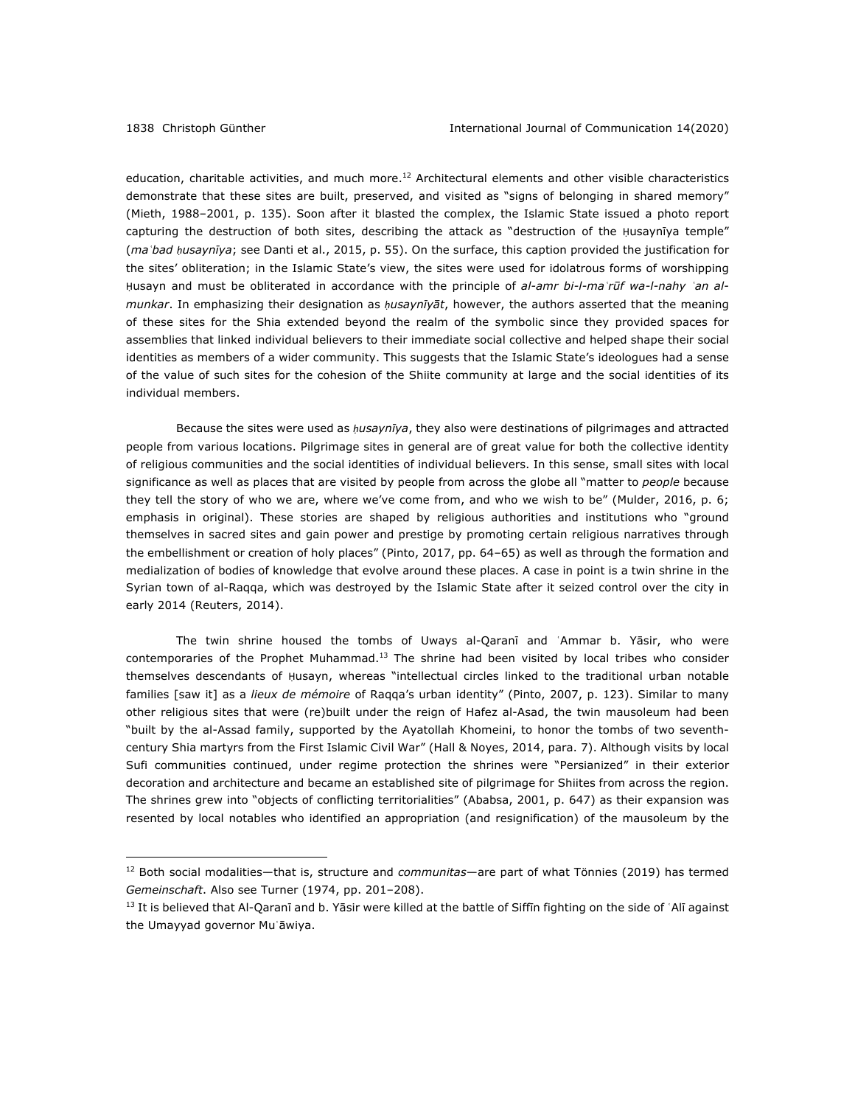education, charitable activities, and much more.<sup>12</sup> Architectural elements and other visible characteristics demonstrate that these sites are built, preserved, and visited as "signs of belonging in shared memory" (Mieth, 1988–2001, p. 135). Soon after it blasted the complex, the Islamic State issued a photo report capturing the destruction of both sites, describing the attack as "destruction of the Ḥusaynīya temple" (*maʿbad ḥusaynīya*; see Danti et al., 2015, p. 55). On the surface, this caption provided the justification for the sites' obliteration; in the Islamic State's view, the sites were used for idolatrous forms of worshipping Ḥusayn and must be obliterated in accordance with the principle of *al-amr bi-l-maʿrūf wa-l-nahy ʿan almunkar*. In emphasizing their designation as *ḥusaynīyāt*, however, the authors asserted that the meaning of these sites for the Shia extended beyond the realm of the symbolic since they provided spaces for assemblies that linked individual believers to their immediate social collective and helped shape their social identities as members of a wider community. This suggests that the Islamic State's ideologues had a sense of the value of such sites for the cohesion of the Shiite community at large and the social identities of its individual members.

Because the sites were used as *ḥusaynīya*, they also were destinations of pilgrimages and attracted people from various locations. Pilgrimage sites in general are of great value for both the collective identity of religious communities and the social identities of individual believers. In this sense, small sites with local significance as well as places that are visited by people from across the globe all "matter to *people* because they tell the story of who we are, where we've come from, and who we wish to be" (Mulder, 2016, p. 6; emphasis in original). These stories are shaped by religious authorities and institutions who "ground themselves in sacred sites and gain power and prestige by promoting certain religious narratives through the embellishment or creation of holy places" (Pinto, 2017, pp. 64–65) as well as through the formation and medialization of bodies of knowledge that evolve around these places. A case in point is a twin shrine in the Syrian town of al-Raqqa, which was destroyed by the Islamic State after it seized control over the city in early 2014 (Reuters, 2014).

The twin shrine housed the tombs of Uways al-Qaranī and ʿAmmar b. Yāsir, who were contemporaries of the Prophet Muhammad. $13$  The shrine had been visited by local tribes who consider themselves descendants of Ḥusayn, whereas "intellectual circles linked to the traditional urban notable families [saw it] as a *lieux de mémoire* of Raqqa's urban identity" (Pinto, 2007, p. 123). Similar to many other religious sites that were (re)built under the reign of Hafez al-Asad, the twin mausoleum had been "built by the al-Assad family, supported by the Ayatollah Khomeini, to honor the tombs of two seventhcentury Shia martyrs from the First Islamic Civil War" (Hall & Noyes, 2014, para. 7). Although visits by local Sufi communities continued, under regime protection the shrines were "Persianized" in their exterior decoration and architecture and became an established site of pilgrimage for Shiites from across the region. The shrines grew into "objects of conflicting territorialities" (Ababsa, 2001, p. 647) as their expansion was resented by local notables who identified an appropriation (and resignification) of the mausoleum by the

<sup>12</sup> Both social modalities—that is, structure and *communitas*—are part of what Tönnies (2019) has termed *Gemeinschaft*. Also see Turner (1974, pp. 201–208).

<sup>&</sup>lt;sup>13</sup> It is believed that Al-Qaranī and b. Yāsir were killed at the battle of Siffīn fighting on the side of 'Alī against the Umayyad governor Muʿāwiya.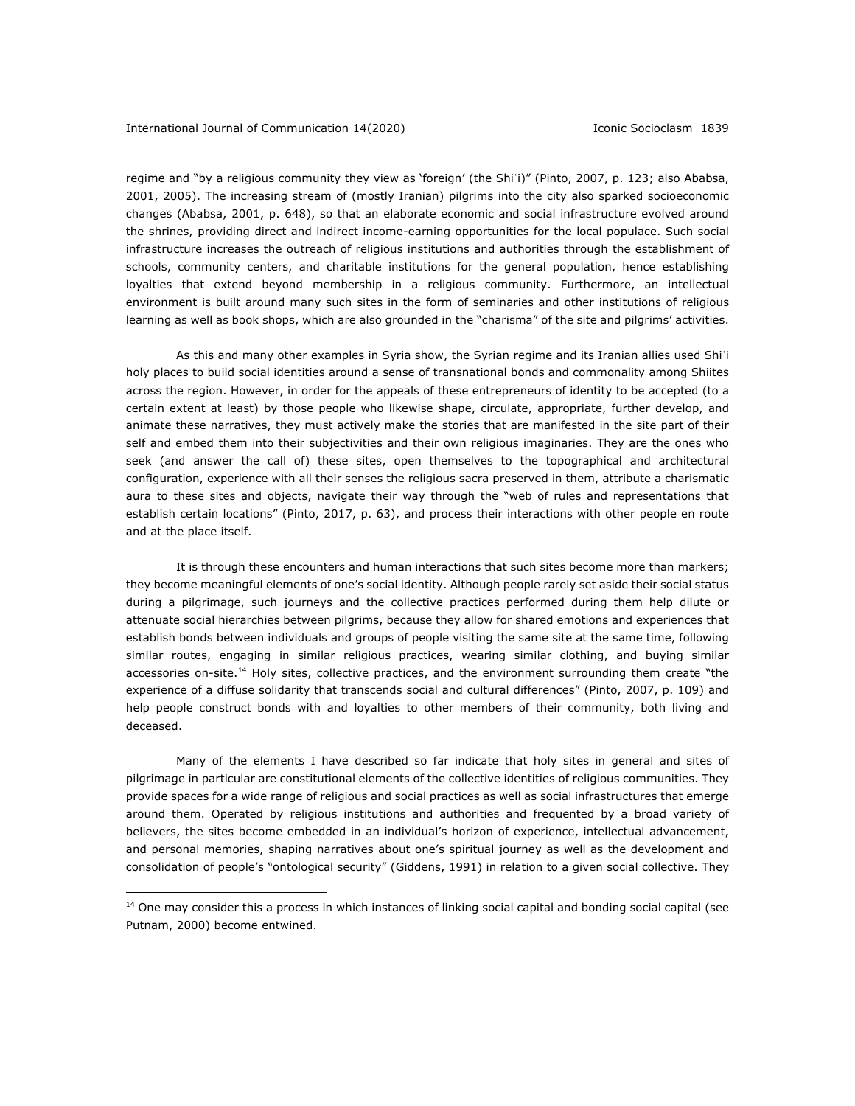regime and "by a religious community they view as 'foreign' (the Shiʿi)" (Pinto, 2007, p. 123; also Ababsa, 2001, 2005). The increasing stream of (mostly Iranian) pilgrims into the city also sparked socioeconomic changes (Ababsa, 2001, p. 648), so that an elaborate economic and social infrastructure evolved around the shrines, providing direct and indirect income-earning opportunities for the local populace. Such social infrastructure increases the outreach of religious institutions and authorities through the establishment of schools, community centers, and charitable institutions for the general population, hence establishing loyalties that extend beyond membership in a religious community. Furthermore, an intellectual environment is built around many such sites in the form of seminaries and other institutions of religious learning as well as book shops, which are also grounded in the "charisma" of the site and pilgrims' activities.

As this and many other examples in Syria show, the Syrian regime and its Iranian allies used Shi'i holy places to build social identities around a sense of transnational bonds and commonality among Shiites across the region. However, in order for the appeals of these entrepreneurs of identity to be accepted (to a certain extent at least) by those people who likewise shape, circulate, appropriate, further develop, and animate these narratives, they must actively make the stories that are manifested in the site part of their self and embed them into their subjectivities and their own religious imaginaries. They are the ones who seek (and answer the call of) these sites, open themselves to the topographical and architectural configuration, experience with all their senses the religious sacra preserved in them, attribute a charismatic aura to these sites and objects, navigate their way through the "web of rules and representations that establish certain locations" (Pinto, 2017, p. 63), and process their interactions with other people en route and at the place itself.

It is through these encounters and human interactions that such sites become more than markers; they become meaningful elements of one's social identity. Although people rarely set aside their social status during a pilgrimage, such journeys and the collective practices performed during them help dilute or attenuate social hierarchies between pilgrims, because they allow for shared emotions and experiences that establish bonds between individuals and groups of people visiting the same site at the same time, following similar routes, engaging in similar religious practices, wearing similar clothing, and buying similar accessories on-site.<sup>14</sup> Holy sites, collective practices, and the environment surrounding them create "the experience of a diffuse solidarity that transcends social and cultural differences" (Pinto, 2007, p. 109) and help people construct bonds with and loyalties to other members of their community, both living and deceased.

Many of the elements I have described so far indicate that holy sites in general and sites of pilgrimage in particular are constitutional elements of the collective identities of religious communities. They provide spaces for a wide range of religious and social practices as well as social infrastructures that emerge around them. Operated by religious institutions and authorities and frequented by a broad variety of believers, the sites become embedded in an individual's horizon of experience, intellectual advancement, and personal memories, shaping narratives about one's spiritual journey as well as the development and consolidation of people's "ontological security" (Giddens, 1991) in relation to a given social collective. They

<sup>&</sup>lt;sup>14</sup> One may consider this a process in which instances of linking social capital and bonding social capital (see Putnam, 2000) become entwined.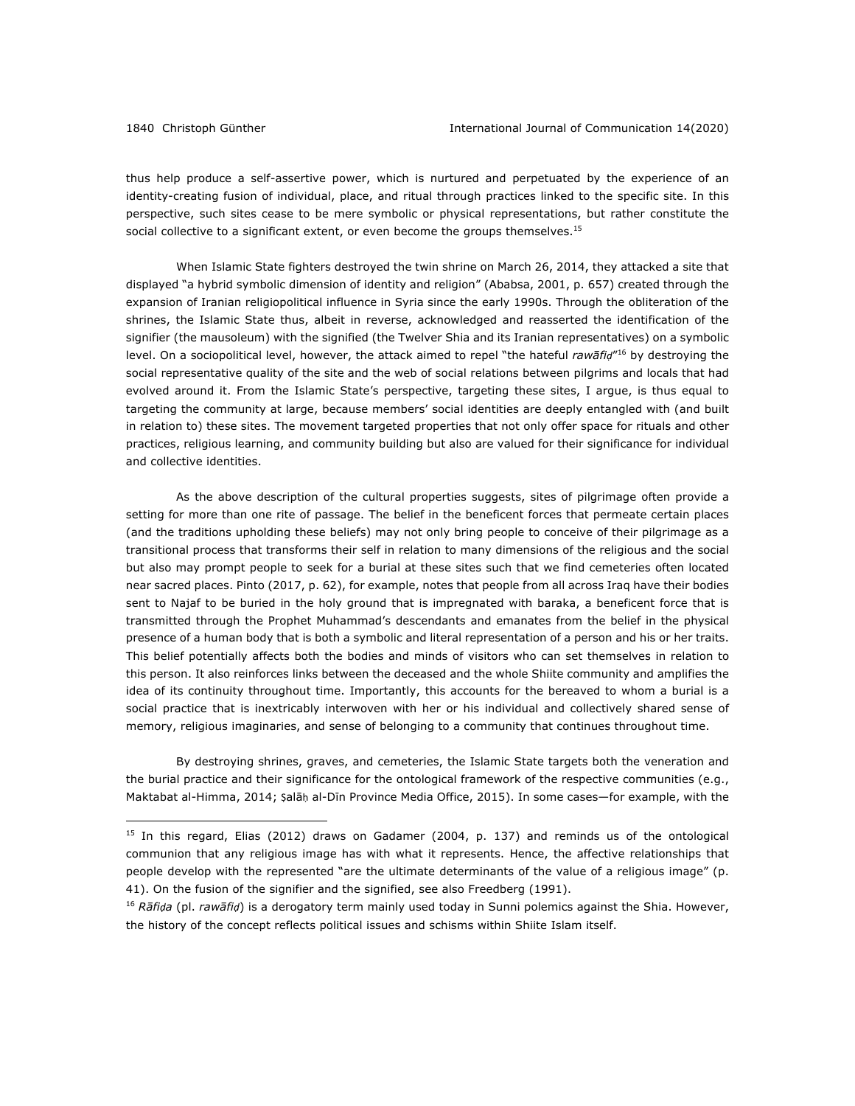thus help produce a self-assertive power, which is nurtured and perpetuated by the experience of an identity-creating fusion of individual, place, and ritual through practices linked to the specific site. In this perspective, such sites cease to be mere symbolic or physical representations, but rather constitute the social collective to a significant extent, or even become the groups themselves.<sup>15</sup>

When Islamic State fighters destroyed the twin shrine on March 26, 2014, they attacked a site that displayed "a hybrid symbolic dimension of identity and religion" (Ababsa, 2001, p. 657) created through the expansion of Iranian religiopolitical influence in Syria since the early 1990s. Through the obliteration of the shrines, the Islamic State thus, albeit in reverse, acknowledged and reasserted the identification of the signifier (the mausoleum) with the signified (the Twelver Shia and its Iranian representatives) on a symbolic level. On a sociopolitical level, however, the attack aimed to repel "the hateful *rawāfiḍ*"16 by destroying the social representative quality of the site and the web of social relations between pilgrims and locals that had evolved around it. From the Islamic State's perspective, targeting these sites, I argue, is thus equal to targeting the community at large, because members' social identities are deeply entangled with (and built in relation to) these sites. The movement targeted properties that not only offer space for rituals and other practices, religious learning, and community building but also are valued for their significance for individual and collective identities.

As the above description of the cultural properties suggests, sites of pilgrimage often provide a setting for more than one rite of passage. The belief in the beneficent forces that permeate certain places (and the traditions upholding these beliefs) may not only bring people to conceive of their pilgrimage as a transitional process that transforms their self in relation to many dimensions of the religious and the social but also may prompt people to seek for a burial at these sites such that we find cemeteries often located near sacred places. Pinto (2017, p. 62), for example, notes that people from all across Iraq have their bodies sent to Najaf to be buried in the holy ground that is impregnated with baraka, a beneficent force that is transmitted through the Prophet Muhammad's descendants and emanates from the belief in the physical presence of a human body that is both a symbolic and literal representation of a person and his or her traits. This belief potentially affects both the bodies and minds of visitors who can set themselves in relation to this person. It also reinforces links between the deceased and the whole Shiite community and amplifies the idea of its continuity throughout time. Importantly, this accounts for the bereaved to whom a burial is a social practice that is inextricably interwoven with her or his individual and collectively shared sense of memory, religious imaginaries, and sense of belonging to a community that continues throughout time.

By destroying shrines, graves, and cemeteries, the Islamic State targets both the veneration and the burial practice and their significance for the ontological framework of the respective communities (e.g., Maktabat al-Himma, 2014; Ṣalāḥ al-Dīn Province Media Office, 2015). In some cases—for example, with the

<sup>&</sup>lt;sup>15</sup> In this regard, Elias (2012) draws on Gadamer (2004, p. 137) and reminds us of the ontological communion that any religious image has with what it represents. Hence, the affective relationships that people develop with the represented "are the ultimate determinants of the value of a religious image" (p. 41). On the fusion of the signifier and the signified, see also Freedberg (1991).

<sup>16</sup> *Rāfiḍa* (pl. *rawāfiḍ*) is a derogatory term mainly used today in Sunni polemics against the Shia. However, the history of the concept reflects political issues and schisms within Shiite Islam itself.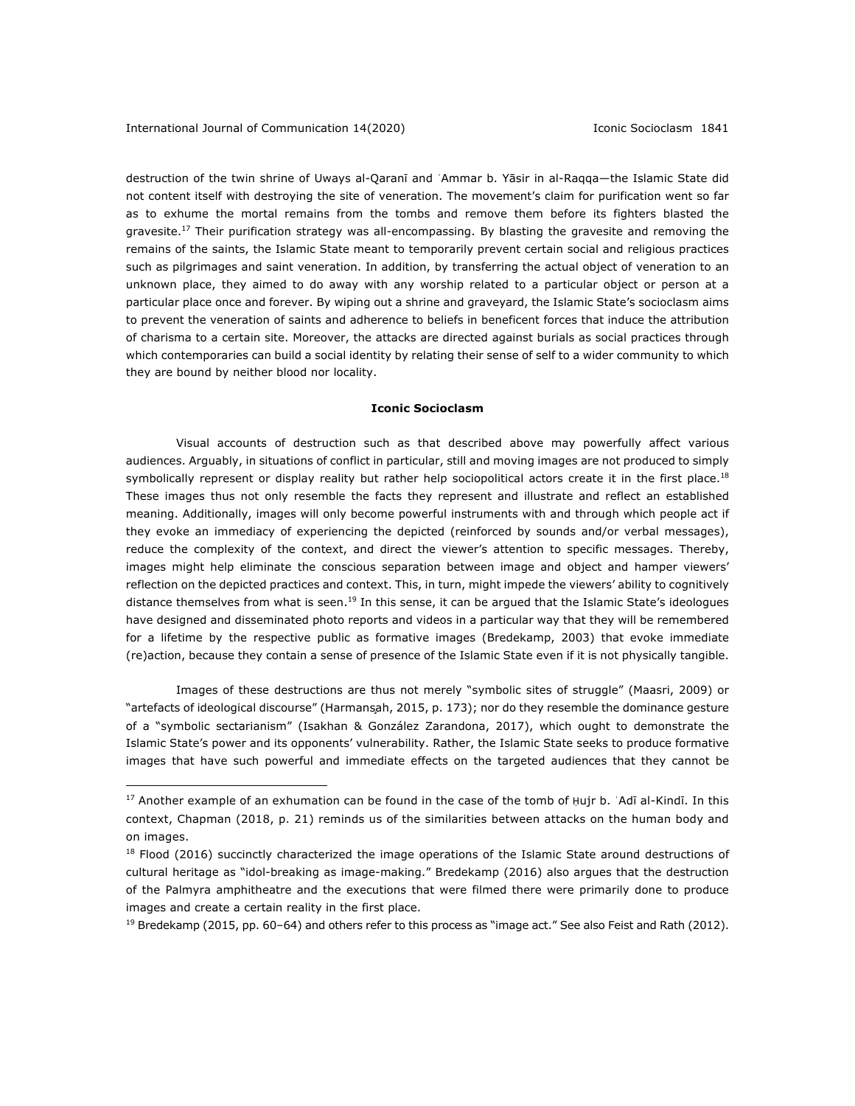destruction of the twin shrine of Uways al-Qaranī and ʿAmmar b. Yāsir in al-Raqqa—the Islamic State did not content itself with destroying the site of veneration. The movement's claim for purification went so far as to exhume the mortal remains from the tombs and remove them before its fighters blasted the gravesite.<sup>17</sup> Their purification strategy was all-encompassing. By blasting the gravesite and removing the remains of the saints, the Islamic State meant to temporarily prevent certain social and religious practices such as pilgrimages and saint veneration. In addition, by transferring the actual object of veneration to an unknown place, they aimed to do away with any worship related to a particular object or person at a particular place once and forever. By wiping out a shrine and graveyard, the Islamic State's socioclasm aims to prevent the veneration of saints and adherence to beliefs in beneficent forces that induce the attribution of charisma to a certain site. Moreover, the attacks are directed against burials as social practices through which contemporaries can build a social identity by relating their sense of self to a wider community to which they are bound by neither blood nor locality.

#### **Iconic Socioclasm**

Visual accounts of destruction such as that described above may powerfully affect various audiences. Arguably, in situations of conflict in particular, still and moving images are not produced to simply symbolically represent or display reality but rather help sociopolitical actors create it in the first place.<sup>18</sup> These images thus not only resemble the facts they represent and illustrate and reflect an established meaning. Additionally, images will only become powerful instruments with and through which people act if they evoke an immediacy of experiencing the depicted (reinforced by sounds and/or verbal messages), reduce the complexity of the context, and direct the viewer's attention to specific messages. Thereby, images might help eliminate the conscious separation between image and object and hamper viewers' reflection on the depicted practices and context. This, in turn, might impede the viewers' ability to cognitively distance themselves from what is seen.<sup>19</sup> In this sense, it can be argued that the Islamic State's ideologues have designed and disseminated photo reports and videos in a particular way that they will be remembered for a lifetime by the respective public as formative images (Bredekamp, 2003) that evoke immediate (re)action, because they contain a sense of presence of the Islamic State even if it is not physically tangible.

Images of these destructions are thus not merely "symbolic sites of struggle" (Maasri, 2009) or "artefacts of ideological discourse" (Harmanşah, 2015, p. 173); nor do they resemble the dominance gesture of a "symbolic sectarianism" (Isakhan & González Zarandona, 2017), which ought to demonstrate the Islamic State's power and its opponents' vulnerability. Rather, the Islamic State seeks to produce formative images that have such powerful and immediate effects on the targeted audiences that they cannot be

 $19$  Bredekamp (2015, pp. 60–64) and others refer to this process as "image act." See also Feist and Rath (2012).

<sup>17</sup> Another example of an exhumation can be found in the case of the tomb of Ḥujr b. ʿAdī al-Kindī. In this context, Chapman (2018, p. 21) reminds us of the similarities between attacks on the human body and on images.

 $18$  Flood (2016) succinctly characterized the image operations of the Islamic State around destructions of cultural heritage as "idol-breaking as image-making." Bredekamp (2016) also argues that the destruction of the Palmyra amphitheatre and the executions that were filmed there were primarily done to produce images and create a certain reality in the first place.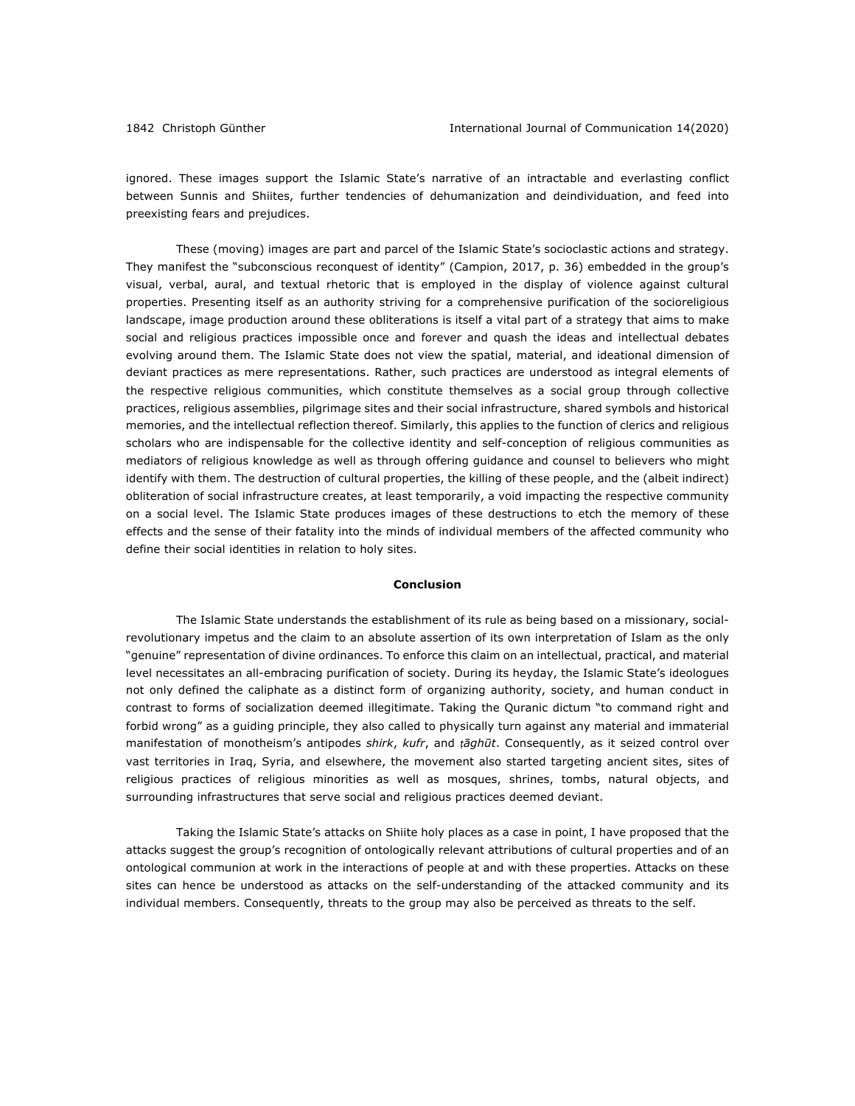ignored. These images support the Islamic State's narrative of an intractable and everlasting conflict between Sunnis and Shiites, further tendencies of dehumanization and deindividuation, and feed into preexisting fears and prejudices.

These (moving) images are part and parcel of the Islamic State's socioclastic actions and strategy. They manifest the "subconscious reconquest of identity" (Campion, 2017, p. 36) embedded in the group's visual, verbal, aural, and textual rhetoric that is employed in the display of violence against cultural properties. Presenting itself as an authority striving for a comprehensive purification of the socioreligious landscape, image production around these obliterations is itself a vital part of a strategy that aims to make social and religious practices impossible once and forever and quash the ideas and intellectual debates evolving around them. The Islamic State does not view the spatial, material, and ideational dimension of deviant practices as mere representations. Rather, such practices are understood as integral elements of the respective religious communities, which constitute themselves as a social group through collective practices, religious assemblies, pilgrimage sites and their social infrastructure, shared symbols and historical memories, and the intellectual reflection thereof. Similarly, this applies to the function of clerics and religious scholars who are indispensable for the collective identity and self-conception of religious communities as mediators of religious knowledge as well as through offering guidance and counsel to believers who might identify with them. The destruction of cultural properties, the killing of these people, and the (albeit indirect) obliteration of social infrastructure creates, at least temporarily, a void impacting the respective community on a social level. The Islamic State produces images of these destructions to etch the memory of these effects and the sense of their fatality into the minds of individual members of the affected community who define their social identities in relation to holy sites.

#### **Conclusion**

The Islamic State understands the establishment of its rule as being based on a missionary, socialrevolutionary impetus and the claim to an absolute assertion of its own interpretation of Islam as the only "genuine" representation of divine ordinances. To enforce this claim on an intellectual, practical, and material level necessitates an all-embracing purification of society. During its heyday, the Islamic State's ideologues not only defined the caliphate as a distinct form of organizing authority, society, and human conduct in contrast to forms of socialization deemed illegitimate. Taking the Quranic dictum "to command right and forbid wrong" as a guiding principle, they also called to physically turn against any material and immaterial manifestation of monotheism's antipodes *shirk*, *kufr*, and *ṭāghūt*. Consequently, as it seized control over vast territories in Iraq, Syria, and elsewhere, the movement also started targeting ancient sites, sites of religious practices of religious minorities as well as mosques, shrines, tombs, natural objects, and surrounding infrastructures that serve social and religious practices deemed deviant.

Taking the Islamic State's attacks on Shiite holy places as a case in point, I have proposed that the attacks suggest the group's recognition of ontologically relevant attributions of cultural properties and of an ontological communion at work in the interactions of people at and with these properties. Attacks on these sites can hence be understood as attacks on the self-understanding of the attacked community and its individual members. Consequently, threats to the group may also be perceived as threats to the self.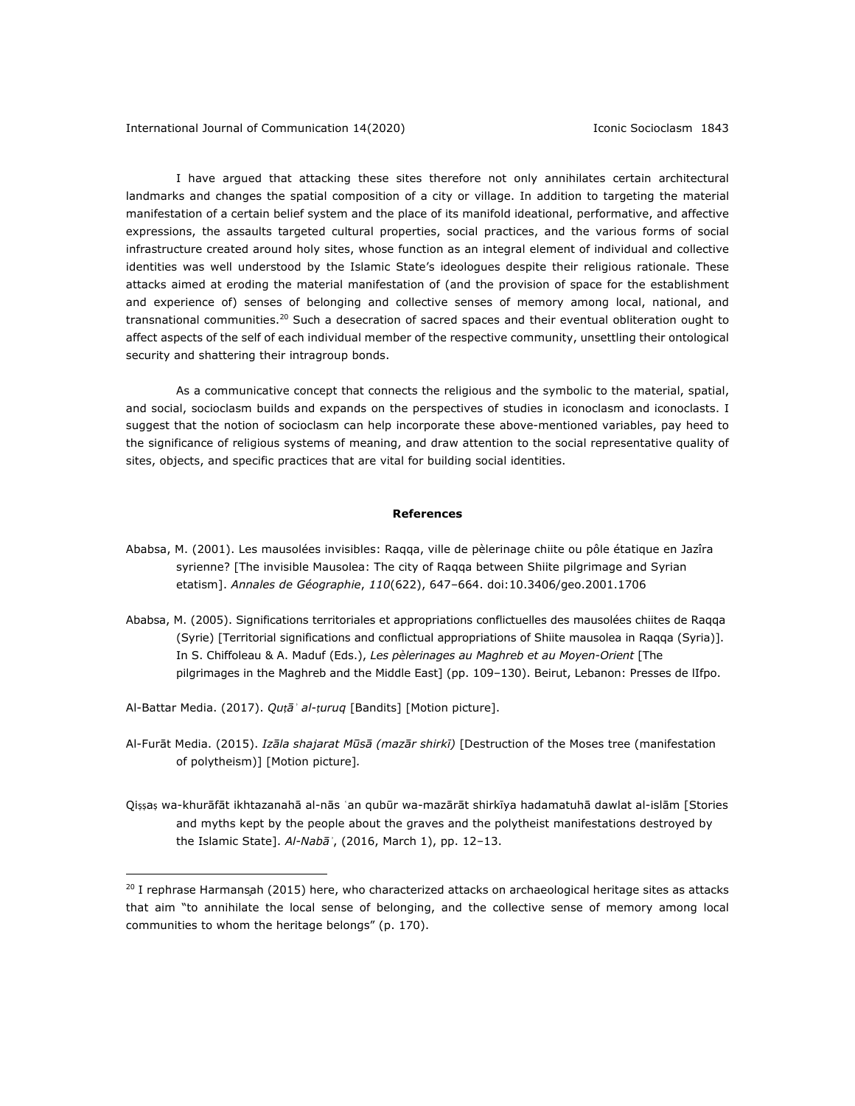I have argued that attacking these sites therefore not only annihilates certain architectural landmarks and changes the spatial composition of a city or village. In addition to targeting the material manifestation of a certain belief system and the place of its manifold ideational, performative, and affective expressions, the assaults targeted cultural properties, social practices, and the various forms of social infrastructure created around holy sites, whose function as an integral element of individual and collective identities was well understood by the Islamic State's ideologues despite their religious rationale. These attacks aimed at eroding the material manifestation of (and the provision of space for the establishment and experience of) senses of belonging and collective senses of memory among local, national, and transnational communities.<sup>20</sup> Such a desecration of sacred spaces and their eventual obliteration ought to affect aspects of the self of each individual member of the respective community, unsettling their ontological security and shattering their intragroup bonds.

As a communicative concept that connects the religious and the symbolic to the material, spatial, and social, socioclasm builds and expands on the perspectives of studies in iconoclasm and iconoclasts. I suggest that the notion of socioclasm can help incorporate these above-mentioned variables, pay heed to the significance of religious systems of meaning, and draw attention to the social representative quality of sites, objects, and specific practices that are vital for building social identities.

### **References**

- Ababsa, M. (2001). Les mausolées invisibles: Raqqa, ville de pèlerinage chiite ou pôle étatique en Jazîra syrienne? [The invisible Mausolea: The city of Raqqa between Shiite pilgrimage and Syrian etatism]. *Annales de Géographie*, *110*(622), 647–664. doi:10.3406/geo.2001.1706
- Ababsa, M. (2005). Significations territoriales et appropriations conflictuelles des mausolées chiites de Raqqa (Syrie) [Territorial significations and conflictual appropriations of Shiite mausolea in Raqqa (Syria)]. In S. Chiffoleau & A. Maduf (Eds.), *Les pèlerinages au Maghreb et au Moyen-Orient* [The pilgrimages in the Maghreb and the Middle East] (pp. 109–130). Beirut, Lebanon: Presses de lIfpo.
- Al-Battar Media. (2017). *Quṭāʾ al-ṭuruq* [Bandits] [Motion picture].
- Al-Furāt Media. (2015). *Izāla shajarat Mūsā (mazār shirkī)* [Destruction of the Moses tree (manifestation of polytheism)] [Motion picture]*.*
- Qiṣṣaṣ wa-khurāfāt ikhtazanahā al-nās ʿan qubūr wa-mazārāt shirkīya hadamatuhā dawlat al-islām [Stories and myths kept by the people about the graves and the polytheist manifestations destroyed by the Islamic State]. *Al-Nabāʾ*, (2016, March 1), pp. 12–13.

 $^{20}$  I rephrase Harmansah (2015) here, who characterized attacks on archaeological heritage sites as attacks that aim "to annihilate the local sense of belonging, and the collective sense of memory among local communities to whom the heritage belongs" (p. 170).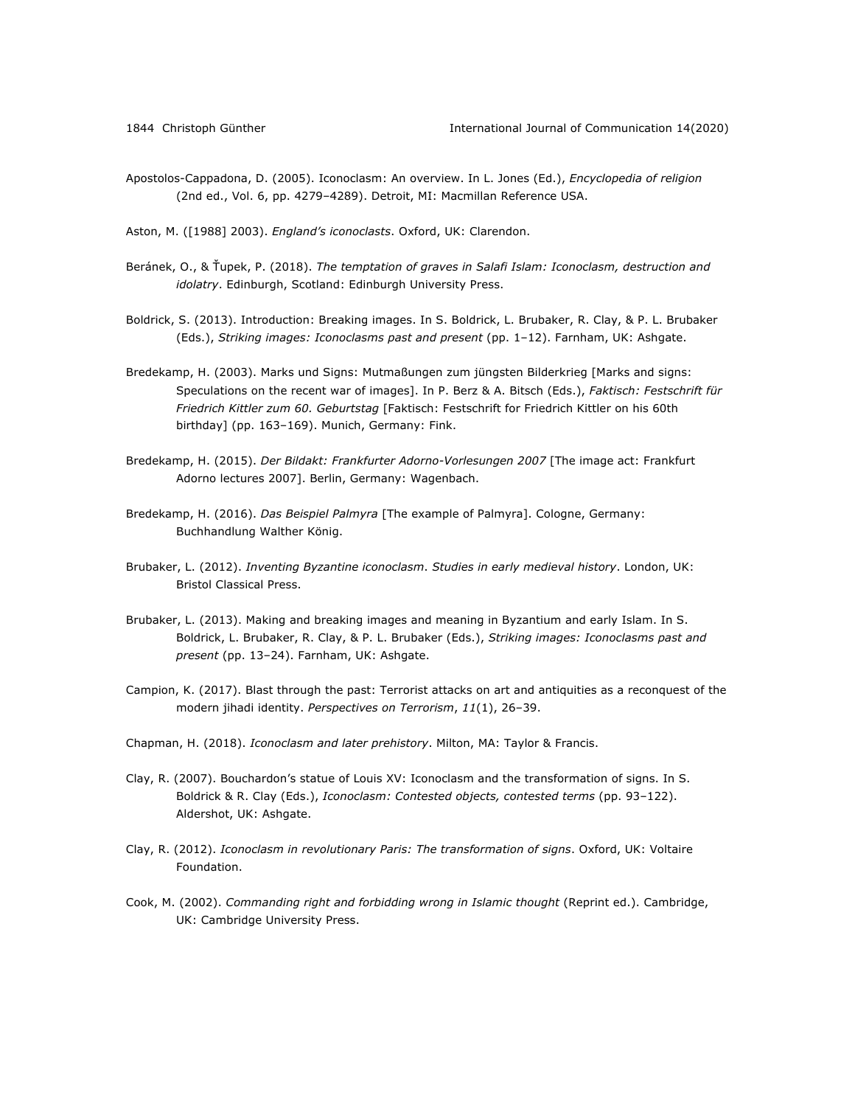Apostolos-Cappadona, D. (2005). Iconoclasm: An overview. In L. Jones (Ed.), *Encyclopedia of religion*  (2nd ed., Vol. 6, pp. 4279–4289). Detroit, MI: Macmillan Reference USA.

Aston, M. ([1988] 2003). *England's iconoclasts*. Oxford, UK: Clarendon.

- Beránek, O., & Ťupek, P. (2018). *The temptation of graves in Salafi Islam: Iconoclasm, destruction and idolatry*. Edinburgh, Scotland: Edinburgh University Press.
- Boldrick, S. (2013). Introduction: Breaking images. In S. Boldrick, L. Brubaker, R. Clay, & P. L. Brubaker (Eds.), *Striking images: Iconoclasms past and present* (pp. 1–12). Farnham, UK: Ashgate.
- Bredekamp, H. (2003). Marks und Signs: Mutmaßungen zum jüngsten Bilderkrieg [Marks and signs: Speculations on the recent war of images]. In P. Berz & A. Bitsch (Eds.), *Faktisch: Festschrift für Friedrich Kittler zum 60. Geburtstag* [Faktisch: Festschrift for Friedrich Kittler on his 60th birthday] (pp. 163–169). Munich, Germany: Fink.
- Bredekamp, H. (2015). *Der Bildakt: Frankfurter Adorno-Vorlesungen 2007* [The image act: Frankfurt Adorno lectures 2007]. Berlin, Germany: Wagenbach.
- Bredekamp, H. (2016). *Das Beispiel Palmyra* [The example of Palmyra]. Cologne, Germany: Buchhandlung Walther König.
- Brubaker, L. (2012). *Inventing Byzantine iconoclasm*. *Studies in early medieval history*. London, UK: Bristol Classical Press.
- Brubaker, L. (2013). Making and breaking images and meaning in Byzantium and early Islam. In S. Boldrick, L. Brubaker, R. Clay, & P. L. Brubaker (Eds.), *Striking images: Iconoclasms past and present* (pp. 13–24). Farnham, UK: Ashgate.
- Campion, K. (2017). Blast through the past: Terrorist attacks on art and antiquities as a reconquest of the modern jihadi identity. *Perspectives on Terrorism*, *11*(1), 26–39.
- Chapman, H. (2018). *Iconoclasm and later prehistory*. Milton, MA: Taylor & Francis.
- Clay, R. (2007). Bouchardon's statue of Louis XV: Iconoclasm and the transformation of signs. In S. Boldrick & R. Clay (Eds.), *Iconoclasm: Contested objects, contested terms* (pp. 93–122). Aldershot, UK: Ashgate.
- Clay, R. (2012). *Iconoclasm in revolutionary Paris: The transformation of signs*. Oxford, UK: Voltaire Foundation.
- Cook, M. (2002). *Commanding right and forbidding wrong in Islamic thought* (Reprint ed.). Cambridge, UK: Cambridge University Press.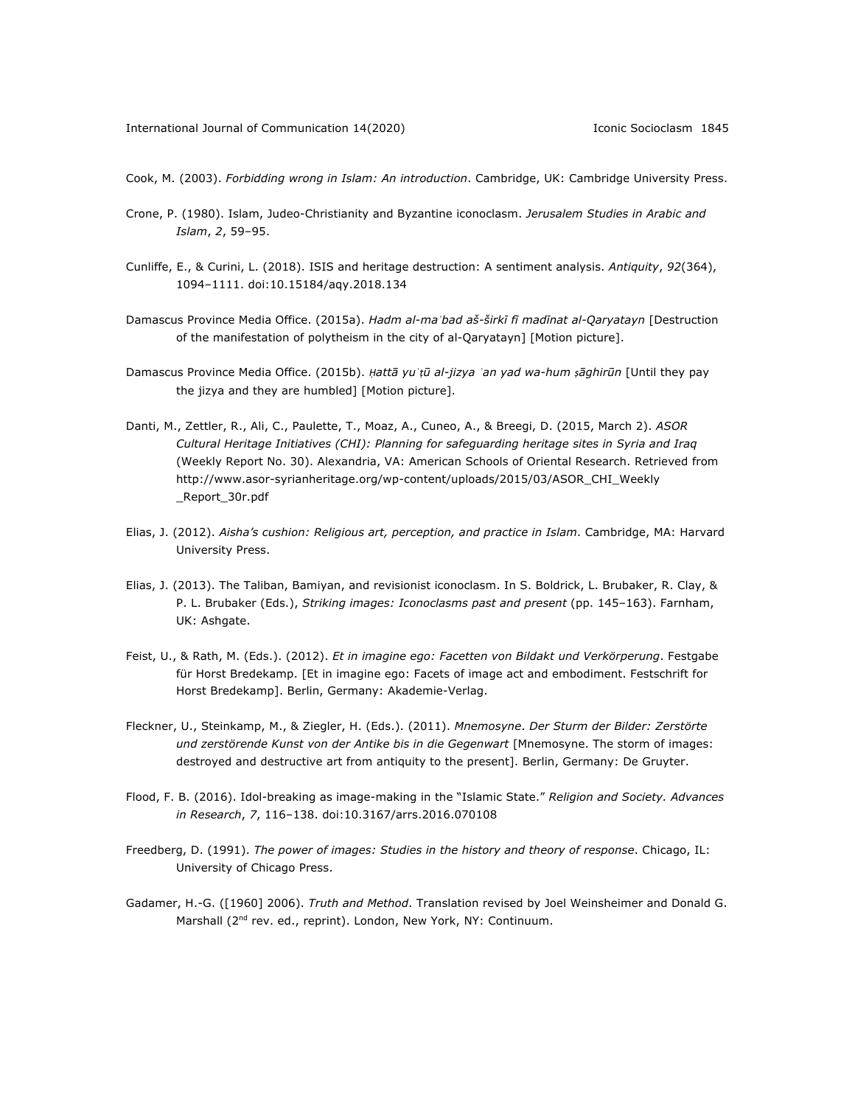Cook, M. (2003). *Forbidding wrong in Islam: An introduction*. Cambridge, UK: Cambridge University Press.

- Crone, P. (1980). Islam, Judeo-Christianity and Byzantine iconoclasm. *Jerusalem Studies in Arabic and Islam*, *2*, 59–95.
- Cunliffe, E., & Curini, L. (2018). ISIS and heritage destruction: A sentiment analysis. *Antiquity*, *92*(364), 1094–1111. doi:10.15184/aqy.2018.134
- Damascus Province Media Office. (2015a). *Hadm al-maʿbad aš-širkī fī madīnat al-Qaryatayn* [Destruction of the manifestation of polytheism in the city of al-Qaryatayn] [Motion picture].
- Damascus Province Media Office. (2015b). *Ḥattā yuʿṭū al-jizya ʿan yad wa-hum ṣāghirūn* [Until they pay the jizya and they are humbled] [Motion picture].
- Danti, M., Zettler, R., Ali, C., Paulette, T., Moaz, A., Cuneo, A., & Breegi, D. (2015, March 2). *ASOR Cultural Heritage Initiatives (CHI): Planning for safeguarding heritage sites in Syria and Iraq* (Weekly Report No. 30). Alexandria, VA: American Schools of Oriental Research. Retrieved from http://www.asor-syrianheritage.org/wp-content/uploads/2015/03/ASOR\_CHI\_Weekly \_Report\_30r.pdf
- Elias, J. (2012). *Aisha's cushion: Religious art, perception, and practice in Islam*. Cambridge, MA: Harvard University Press.
- Elias, J. (2013). The Taliban, Bamiyan, and revisionist iconoclasm. In S. Boldrick, L. Brubaker, R. Clay, & P. L. Brubaker (Eds.), *Striking images: Iconoclasms past and present* (pp. 145–163). Farnham, UK: Ashgate.
- Feist, U., & Rath, M. (Eds.). (2012). *Et in imagine ego: Facetten von Bildakt und Verkörperung*. Festgabe für Horst Bredekamp. [Et in imagine ego: Facets of image act and embodiment. Festschrift for Horst Bredekamp]. Berlin, Germany: Akademie-Verlag.
- Fleckner, U., Steinkamp, M., & Ziegler, H. (Eds.). (2011). *Mnemosyne*. *Der Sturm der Bilder: Zerstörte und zerstörende Kunst von der Antike bis in die Gegenwart* [Mnemosyne. The storm of images: destroyed and destructive art from antiquity to the present]. Berlin, Germany: De Gruyter.
- Flood, F. B. (2016). Idol-breaking as image-making in the "Islamic State." *Religion and Society. Advances in Research*, *7*, 116–138. doi:10.3167/arrs.2016.070108
- Freedberg, D. (1991). *The power of images: Studies in the history and theory of response*. Chicago, IL: University of Chicago Press.
- Gadamer, H.-G. ([1960] 2006). *Truth and Method*. Translation revised by Joel Weinsheimer and Donald G. Marshall (2<sup>nd</sup> rev. ed., reprint). London, New York, NY: Continuum.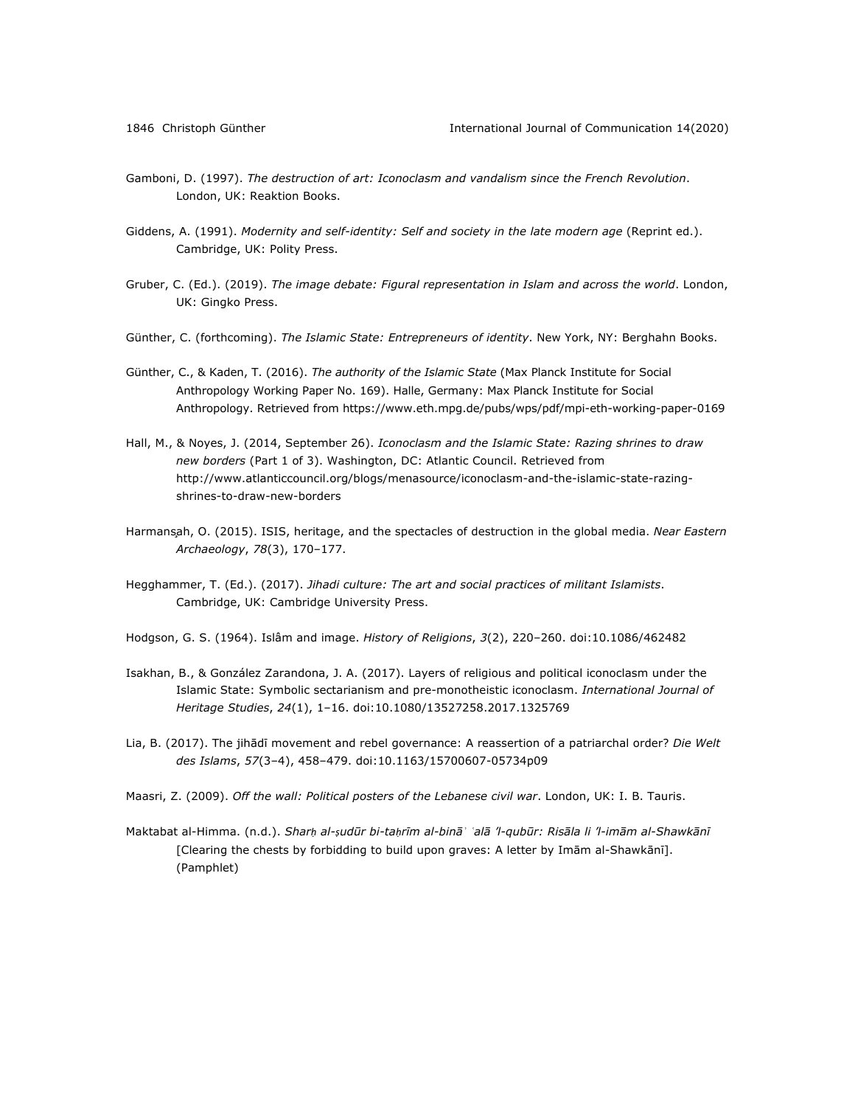- Gamboni, D. (1997). *The destruction of art: Iconoclasm and vandalism since the French Revolution*. London, UK: Reaktion Books.
- Giddens, A. (1991). *Modernity and self-identity: Self and society in the late modern age* (Reprint ed.). Cambridge, UK: Polity Press.
- Gruber, C. (Ed.). (2019). *The image debate: Figural representation in Islam and across the world*. London, UK: Gingko Press.
- Günther, C. (forthcoming). *The Islamic State: Entrepreneurs of identity*. New York, NY: Berghahn Books.
- Günther, C., & Kaden, T. (2016). *The authority of the Islamic State* (Max Planck Institute for Social Anthropology Working Paper No. 169). Halle, Germany: Max Planck Institute for Social Anthropology. Retrieved from https://www.eth.mpg.de/pubs/wps/pdf/mpi-eth-working-paper-0169
- Hall, M., & Noyes, J. (2014, September 26). *Iconoclasm and the Islamic State: Razing shrines to draw new borders* (Part 1 of 3). Washington, DC: Atlantic Council. Retrieved from http://www.atlanticcouncil.org/blogs/menasource/iconoclasm-and-the-islamic-state-razingshrines-to-draw-new-borders
- Harmanşah, O. (2015). ISIS, heritage, and the spectacles of destruction in the global media. *Near Eastern Archaeology*, *78*(3), 170–177.
- Hegghammer, T. (Ed.). (2017). *Jihadi culture: The art and social practices of militant Islamists*. Cambridge, UK: Cambridge University Press.
- Hodgson, G. S. (1964). Islâm and image. *History of Religions*, *3*(2), 220–260. doi:10.1086/462482
- Isakhan, B., & González Zarandona, J. A. (2017). Layers of religious and political iconoclasm under the Islamic State: Symbolic sectarianism and pre-monotheistic iconoclasm. *International Journal of Heritage Studies*, *24*(1), 1–16. doi:10.1080/13527258.2017.1325769
- Lia, B. (2017). The jihādī movement and rebel governance: A reassertion of a patriarchal order? *Die Welt des Islams*, *57*(3‒4), 458–479. doi:10.1163/15700607-05734p09
- Maasri, Z. (2009). *Off the wall: Political posters of the Lebanese civil war*. London, UK: I. B. Tauris.
- Maktabat al-Himma. (n.d.). Sharh al-sudūr bi-tahrīm al-binā 'alā 'l-qubūr: Risāla li 'l-imām al-Shawkānī [Clearing the chests by forbidding to build upon graves: A letter by Imām al-Shawkānī]. (Pamphlet)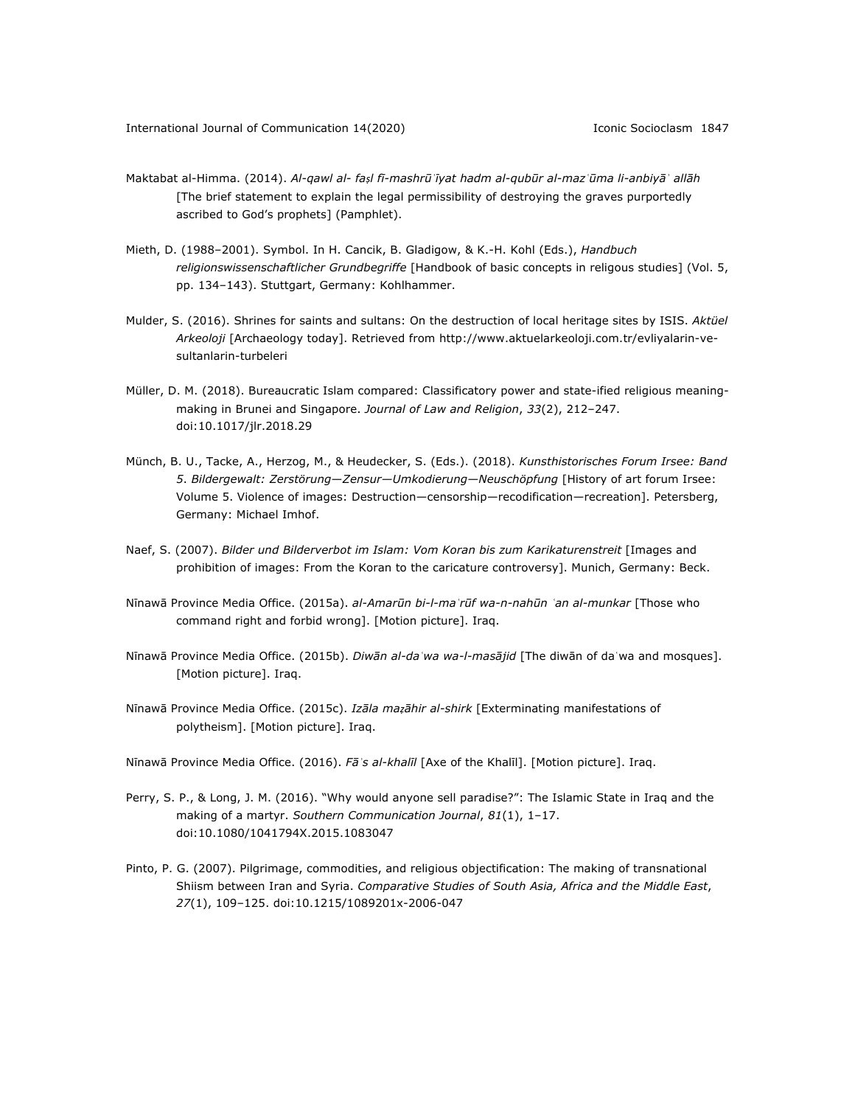- Maktabat al-Himma. (2014). Al-gawl al- fasl fi-mashrū īyat hadm al-qubūr al-maz ūma li-anbiyā allāh [The brief statement to explain the legal permissibility of destroying the graves purportedly ascribed to God's prophets] (Pamphlet).
- Mieth, D. (1988–2001). Symbol. In H. Cancik, B. Gladigow, & K.-H. Kohl (Eds.), *Handbuch religionswissenschaftlicher Grundbegriffe* [Handbook of basic concepts in religous studies] (Vol. 5, pp. 134–143). Stuttgart, Germany: Kohlhammer.
- Mulder, S. (2016). Shrines for saints and sultans: On the destruction of local heritage sites by ISIS. *Aktüel Arkeoloji* [Archaeology today]. Retrieved from http://www.aktuelarkeoloji.com.tr/evliyalarin-vesultanlarin-turbeleri
- Müller, D. M. (2018). Bureaucratic Islam compared: Classificatory power and state-ified religious meaningmaking in Brunei and Singapore. *Journal of Law and Religion*, *33*(2), 212–247. doi:10.1017/jlr.2018.29
- Münch, B. U., Tacke, A., Herzog, M., & Heudecker, S. (Eds.). (2018). *Kunsthistorisches Forum Irsee: Band 5*. *Bildergewalt: Zerstörung—Zensur—Umkodierung—Neuschöpfung* [History of art forum Irsee: Volume 5. Violence of images: Destruction—censorship—recodification—recreation]. Petersberg, Germany: Michael Imhof.
- Naef, S. (2007). *Bilder und Bilderverbot im Islam: Vom Koran bis zum Karikaturenstreit* [Images and prohibition of images: From the Koran to the caricature controversy]. Munich, Germany: Beck.
- Nīnawā Province Media Office. (2015a). *al-Amarūn bi-l-maʿrūf wa-n-nahūn ʿan al-munkar* [Those who command right and forbid wrong]. [Motion picture]. Iraq.
- Nīnawā Province Media Office. (2015b). *Diwān al-daʿwa wa-l-masājid* [The diwān of daʿwa and mosques]. [Motion picture]. Iraq.
- Nīnawā Province Media Office. (2015c). *Izāla maẓāhir al-shirk* [Exterminating manifestations of polytheism]. [Motion picture]. Iraq.
- Nīnawā Province Media Office. (2016). *Fāʾs al-khalīl* [Axe of the Khalīl]. [Motion picture]. Iraq.
- Perry, S. P., & Long, J. M. (2016). "Why would anyone sell paradise?": The Islamic State in Iraq and the making of a martyr. *Southern Communication Journal*, *81*(1), 1–17. doi:10.1080/1041794X.2015.1083047
- Pinto, P. G. (2007). Pilgrimage, commodities, and religious objectification: The making of transnational Shiism between Iran and Syria. *Comparative Studies of South Asia, Africa and the Middle East*, *27*(1), 109–125. doi:10.1215/1089201x-2006-047